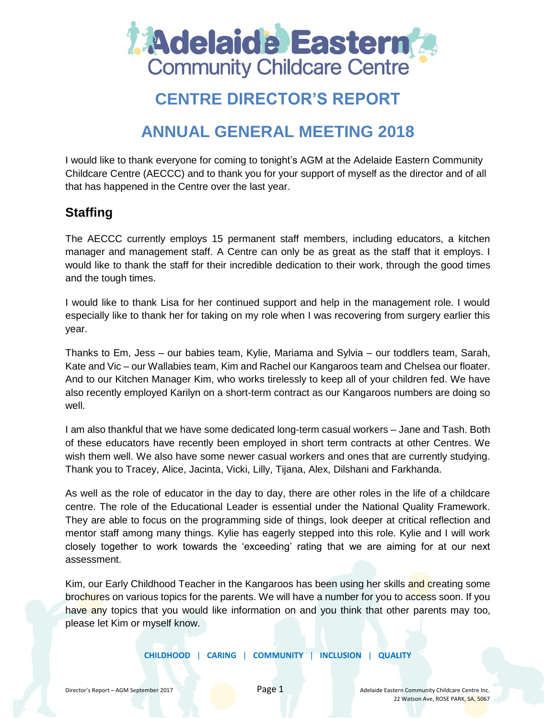

# **CENTRE DIRECTOR'S REPORT**

# **ANNUAL GENERAL MEETING 2018**

I would like to thank everyone for coming to tonight's AGM at the Adelaide Eastern Community Childcare Centre (AECCC) and to thank you for your support of myself as the director and of all that has happened in the Centre over the last year.

## **Staffing**

The AECCC currently employs 15 permanent staff members, including educators, a kitchen manager and management staff. A Centre can only be as great as the staff that it employs. I would like to thank the staff for their incredible dedication to their work, through the good times and the tough times.

I would like to thank Lisa for her continued support and help in the management role. I would especially like to thank her for taking on my role when I was recovering from surgery earlier this year.

Thanks to Em, Jess – our babies team, Kylie, Mariama and Sylvia – our toddlers team, Sarah, Kate and Vic – our Wallabies team, Kim and Rachel our Kangaroos team and Chelsea our floater. And to our Kitchen Manager Kim, who works tirelessly to keep all of your children fed. We have also recently employed Karilyn on a short-term contract as our Kangaroos numbers are doing so well.

I am also thankful that we have some dedicated long-term casual workers – Jane and Tash. Both of these educators have recently been employed in short term contracts at other Centres. We wish them well. We also have some newer casual workers and ones that are currently studying. Thank you to Tracey, Alice, Jacinta, Vicki, Lilly, Tijana, Alex, Dilshani and Farkhanda.

As well as the role of educator in the day to day, there are other roles in the life of a childcare centre. The role of the Educational Leader is essential under the National Quality Framework. They are able to focus on the programming side of things, look deeper at critical reflection and mentor staff among many things. Kylie has eagerly stepped into this role. Kylie and I will work closely together to work towards the 'exceeding' rating that we are aiming for at our next assessment.

Kim, our Early Childhood Teacher in the Kangaroos has been using her skills and creating some brochures on various topics for the parents. We will have a number for you to access soon. If you have any topics that you would like information on and you think that other parents may too, please let Kim or myself know.

**CHILDHOOD** | **CARING** | **COMMUNITY** | **INCLUSION** | **QUALITY**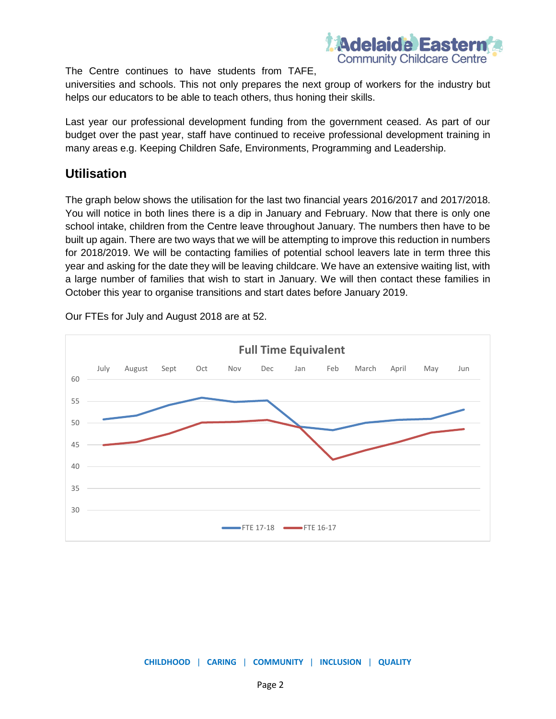

The Centre continues to have students from TAFE,

universities and schools. This not only prepares the next group of workers for the industry but helps our educators to be able to teach others, thus honing their skills.

Last year our professional development funding from the government ceased. As part of our budget over the past year, staff have continued to receive professional development training in many areas e.g. Keeping Children Safe, Environments, Programming and Leadership.

#### **Utilisation**

The graph below shows the utilisation for the last two financial years 2016/2017 and 2017/2018. You will notice in both lines there is a dip in January and February. Now that there is only one school intake, children from the Centre leave throughout January. The numbers then have to be built up again. There are two ways that we will be attempting to improve this reduction in numbers for 2018/2019. We will be contacting families of potential school leavers late in term three this year and asking for the date they will be leaving childcare. We have an extensive waiting list, with a large number of families that wish to start in January. We will then contact these families in October this year to organise transitions and start dates before January 2019.



Our FTEs for July and August 2018 are at 52.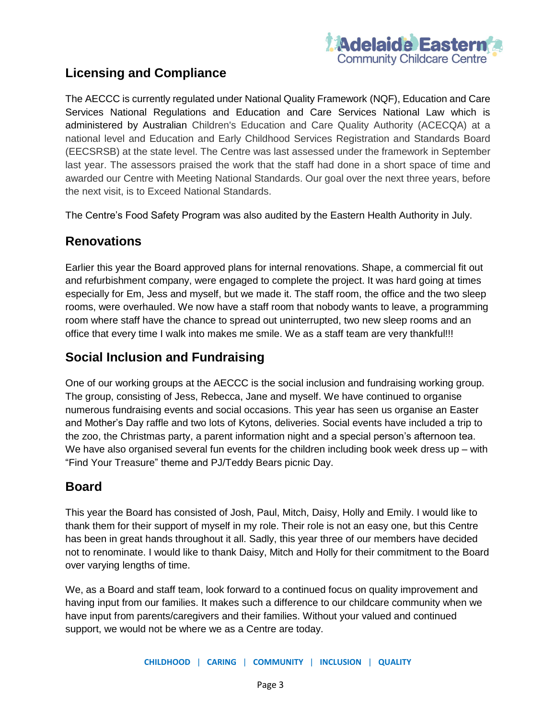

### **Licensing and Compliance**

The AECCC is currently regulated under National Quality Framework (NQF), Education and Care Services National Regulations and Education and Care Services National Law which is administered by Australian Children's Education and Care Quality Authority (ACECQA) at a national level and Education and Early Childhood Services Registration and Standards Board (EECSRSB) at the state level. The Centre was last assessed under the framework in September last year. The assessors praised the work that the staff had done in a short space of time and awarded our Centre with Meeting National Standards. Our goal over the next three years, before the next visit, is to Exceed National Standards.

The Centre's Food Safety Program was also audited by the Eastern Health Authority in July.

#### **Renovations**

Earlier this year the Board approved plans for internal renovations. Shape, a commercial fit out and refurbishment company, were engaged to complete the project. It was hard going at times especially for Em, Jess and myself, but we made it. The staff room, the office and the two sleep rooms, were overhauled. We now have a staff room that nobody wants to leave, a programming room where staff have the chance to spread out uninterrupted, two new sleep rooms and an office that every time I walk into makes me smile. We as a staff team are very thankful!!!

#### **Social Inclusion and Fundraising**

One of our working groups at the AECCC is the social inclusion and fundraising working group. The group, consisting of Jess, Rebecca, Jane and myself. We have continued to organise numerous fundraising events and social occasions. This year has seen us organise an Easter and Mother's Day raffle and two lots of Kytons, deliveries. Social events have included a trip to the zoo, the Christmas party, a parent information night and a special person's afternoon tea. We have also organised several fun events for the children including book week dress up - with "Find Your Treasure" theme and PJ/Teddy Bears picnic Day.

### **Board**

This year the Board has consisted of Josh, Paul, Mitch, Daisy, Holly and Emily. I would like to thank them for their support of myself in my role. Their role is not an easy one, but this Centre has been in great hands throughout it all. Sadly, this year three of our members have decided not to renominate. I would like to thank Daisy, Mitch and Holly for their commitment to the Board over varying lengths of time.

We, as a Board and staff team, look forward to a continued focus on quality improvement and having input from our families. It makes such a difference to our childcare community when we have input from parents/caregivers and their families. Without your valued and continued support, we would not be where we as a Centre are today.